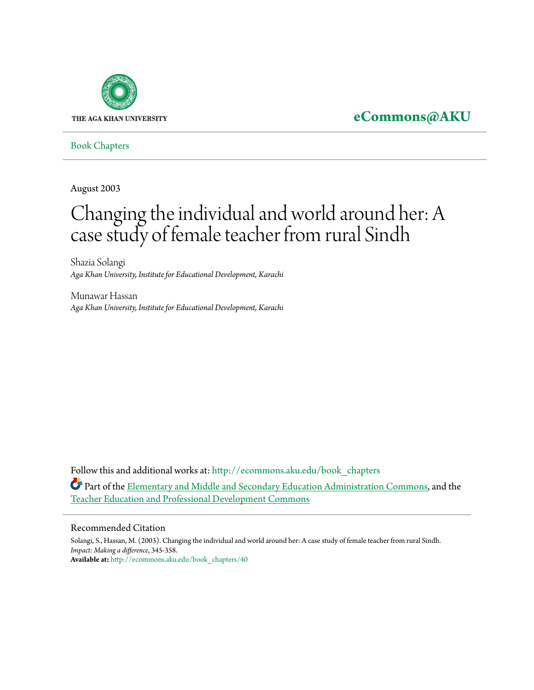

## **[eCommons@AKU](http://ecommons.aku.edu?utm_source=ecommons.aku.edu%2Fbook_chapters%2F40&utm_medium=PDF&utm_campaign=PDFCoverPages)**

[Book Chapters](http://ecommons.aku.edu/book_chapters?utm_source=ecommons.aku.edu%2Fbook_chapters%2F40&utm_medium=PDF&utm_campaign=PDFCoverPages)

August 2003

# Changing the individual and world around her: A case study of female teacher from rural Sindh

Shazia Solangi *Aga Khan University, Institute for Educational Development, Karachi*

Munawar Hassan *Aga Khan University, Institute for Educational Development, Karachi*

Follow this and additional works at: [http://ecommons.aku.edu/book\\_chapters](http://ecommons.aku.edu/book_chapters?utm_source=ecommons.aku.edu%2Fbook_chapters%2F40&utm_medium=PDF&utm_campaign=PDFCoverPages) Part of the [Elementary and Middle and Secondary Education Administration Commons,](http://network.bepress.com/hgg/discipline/790?utm_source=ecommons.aku.edu%2Fbook_chapters%2F40&utm_medium=PDF&utm_campaign=PDFCoverPages) and the [Teacher Education and Professional Development Commons](http://network.bepress.com/hgg/discipline/803?utm_source=ecommons.aku.edu%2Fbook_chapters%2F40&utm_medium=PDF&utm_campaign=PDFCoverPages)

#### Recommended Citation

Solangi, S., Hassan, M. (2003). Changing the individual and world around her: A case study of female teacher from rural Sindh. *Impact: Making a difference*, 345-358. **Available at:** [http://ecommons.aku.edu/book\\_chapters/40](http://ecommons.aku.edu/book_chapters/40)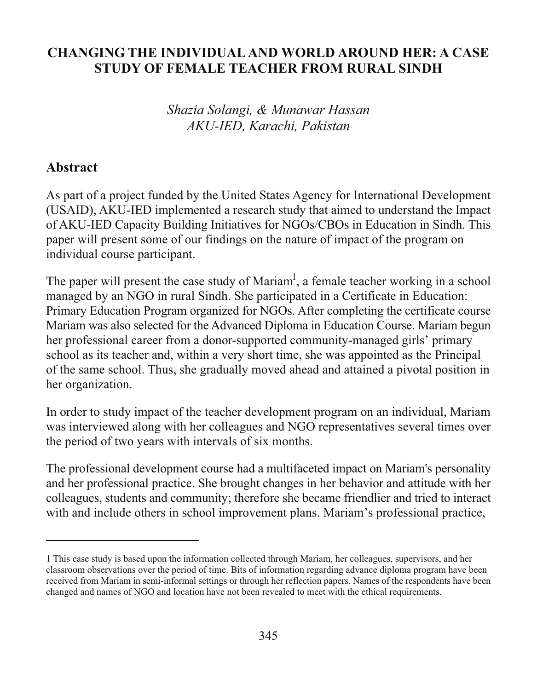#### **CHANGING THE INDIVIDUAL AND WORLD AROUND HER: A CASE STUDY OF FEMALE TEACHER FROM RURAL SINDH**

Shazia Solangi, & Munawar Hassan AKU-IED, Karachi, Pakistan

#### Abstract

As part of a project funded by the United States Agency for International Development (USAID), AKU-IED implemented a research study that aimed to understand the Impact of AKU-IED Capacity Building Initiatives for NGOs/CBOs in Education in Sindh. This paper will present some of our findings on the nature of impact of the program on individual course participant.

The paper will present the case study of Mariam<sup>1</sup>, a female teacher working in a school managed by an NGO in rural Sindh. She participated in a Certificate in Education: Primary Education Program organized for NGOs. After completing the certificate course Mariam was also selected for the Advanced Diploma in Education Course. Mariam begun her professional career from a donor-supported community-managed girls' primary school as its teacher and, within a very short time, she was appointed as the Principal of the same school. Thus, she gradually moved ahead and attained a pivotal position in her organization.

In order to study impact of the teacher development program on an individual, Mariam was interviewed along with her colleagues and NGO representatives several times over the period of two years with intervals of six months.

The professional development course had a multifaceted impact on Mariam's personality and her professional practice. She brought changes in her behavior and attitude with her colleagues, students and community; therefore she became friendlier and tried to interact with and include others in school improvement plans. Mariam's professional practice,

<sup>1</sup> This case study is based upon the information collected through Mariam, her colleagues, supervisors, and her classroom observations over the period of time. Bits of information regarding advance diploma program have been received from Mariam in semi-informal settings or through her reflection papers. Names of the respondents have been changed and names of NGO and location have not been revealed to meet with the ethical requirements.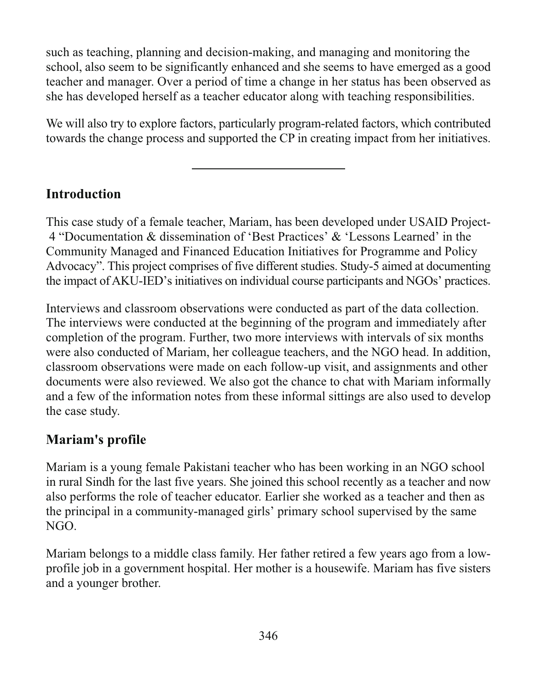such as teaching, planning and decision-making, and managing and monitoring the school, also seem to be significantly enhanced and she seems to have emerged as a good teacher and manager. Over a period of time a change in her status has been observed as she has developed herself as a teacher educator along with teaching responsibilities.

We will also try to explore factors, particularly program-related factors, which contributed towards the change process and supported the CP in creating impact from her initiatives.

#### **Introduction**

This case study of a female teacher, Mariam, has been developed under USAID Project-4 "Documentation & dissemination of 'Best Practices' & 'Lessons Learned' in the Community Managed and Financed Education Initiatives for Programme and Policy Advocacy". This project comprises of five different studies. Study-5 aimed at documenting the impact of AKU-IED's initiatives on individual course participants and NGOs' practices.

Interviews and classroom observations were conducted as part of the data collection. The interviews were conducted at the beginning of the program and immediately after completion of the program. Further, two more interviews with intervals of six months were also conducted of Mariam, her colleague teachers, and the NGO head. In addition, classroom observations were made on each follow-up visit, and assignments and other documents were also reviewed. We also got the chance to chat with Mariam informally and a few of the information notes from these informal sittings are also used to develop the case study.

#### Mariam's profile

Mariam is a young female Pakistani teacher who has been working in an NGO school in rural Sindh for the last five years. She joined this school recently as a teacher and now also performs the role of teacher educator. Earlier she worked as a teacher and then as the principal in a community-managed girls' primary school supervised by the same  $NGO.$ 

Mariam belongs to a middle class family. Her father retired a few years ago from a lowprofile job in a government hospital. Her mother is a housewife. Mariam has five sisters and a younger brother.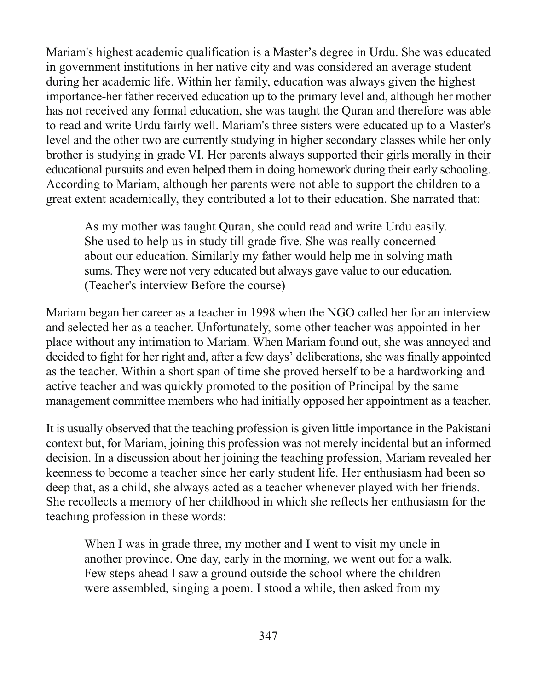Mariam's highest academic qualification is a Master's degree in Urdu. She was educated in government institutions in her native city and was considered an average student during her academic life. Within her family, education was always given the highest importance-her father received education up to the primary level and, although her mother has not received any formal education, she was taught the Quran and therefore was able to read and write Urdu fairly well. Mariam's three sisters were educated up to a Master's level and the other two are currently studying in higher secondary classes while her only brother is studying in grade VI. Her parents always supported their girls morally in their educational pursuits and even helped them in doing homework during their early schooling. According to Mariam, although her parents were not able to support the children to a great extent academically, they contributed a lot to their education. She narrated that:

As my mother was taught Quran, she could read and write Urdu easily. She used to help us in study till grade five. She was really concerned about our education. Similarly my father would help me in solving math sums. They were not very educated but always gave value to our education. (Teacher's interview Before the course)

Mariam began her career as a teacher in 1998 when the NGO called her for an interview and selected her as a teacher. Unfortunately, some other teacher was appointed in her place without any intimation to Mariam. When Mariam found out, she was annoyed and decided to fight for her right and, after a few days' deliberations, she was finally appointed as the teacher. Within a short span of time she proved herself to be a hardworking and active teacher and was quickly promoted to the position of Principal by the same management committee members who had initially opposed her appointment as a teacher.

It is usually observed that the teaching profession is given little importance in the Pakistani context but, for Mariam, joining this profession was not merely incidental but an informed decision. In a discussion about her joining the teaching profession, Mariam revealed her keenness to become a teacher since her early student life. Her enthusiasm had been so deep that, as a child, she always acted as a teacher whenever played with her friends. She recollects a memory of her childhood in which she reflects her enthusiasm for the teaching profession in these words:

When I was in grade three, my mother and I went to visit my uncle in another province. One day, early in the morning, we went out for a walk. Few steps ahead I saw a ground outside the school where the children were assembled, singing a poem. I stood a while, then asked from my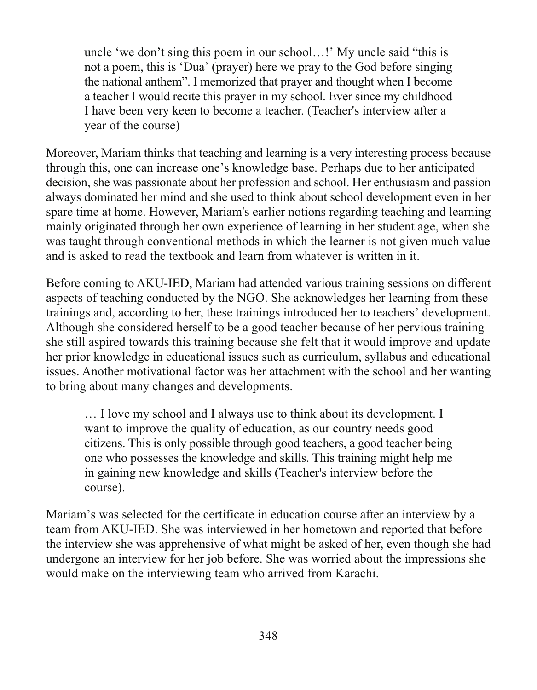uncle 'we don't sing this poem in our school...!' My uncle said "this is not a poem, this is 'Dua' (prayer) here we pray to the God before singing the national anthem". I memorized that prayer and thought when I become a teacher I would recite this prayer in my school. Ever since my childhood I have been very keen to become a teacher. (Teacher's interview after a year of the course)

Moreover, Mariam thinks that teaching and learning is a very interesting process because through this, one can increase one's knowledge base. Perhaps due to her anticipated decision, she was passionate about her profession and school. Her enthusiasm and passion always dominated her mind and she used to think about school development even in her spare time at home. However, Mariam's earlier notions regarding teaching and learning mainly originated through her own experience of learning in her student age, when she was taught through conventional methods in which the learner is not given much value and is asked to read the textbook and learn from whatever is written in it.

Before coming to AKU-IED, Mariam had attended various training sessions on different aspects of teaching conducted by the NGO. She acknowledges her learning from these trainings and, according to her, these trainings introduced her to teachers' development. Although she considered herself to be a good teacher because of her pervious training she still aspired towards this training because she felt that it would improve and update her prior knowledge in educational issues such as curriculum, syllabus and educational issues. Another motivational factor was her attachment with the school and her wanting to bring about many changes and developments.

... I love my school and I always use to think about its development. I want to improve the quality of education, as our country needs good citizens. This is only possible through good teachers, a good teacher being one who possesses the knowledge and skills. This training might help me in gaining new knowledge and skills (Teacher's interview before the course).

Mariam's was selected for the certificate in education course after an interview by a team from AKU-IED. She was interviewed in her hometown and reported that before the interview she was apprehensive of what might be asked of her, even though she had undergone an interview for her job before. She was worried about the impressions she would make on the interviewing team who arrived from Karachi.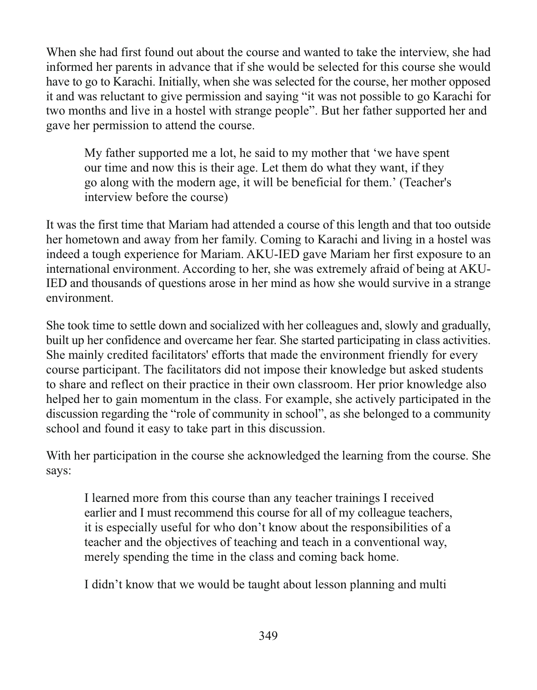When she had first found out about the course and wanted to take the interview, she had informed her parents in advance that if she would be selected for this course she would have to go to Karachi. Initially, when she was selected for the course, her mother opposed it and was reluctant to give permission and saying "it was not possible to go Karachi for two months and live in a hostel with strange people". But her father supported her and gave her permission to attend the course.

My father supported me a lot, he said to my mother that 'we have spent our time and now this is their age. Let them do what they want, if they go along with the modern age, it will be beneficial for them.' (Teacher's interview before the course)

It was the first time that Mariam had attended a course of this length and that too outside her hometown and away from her family. Coming to Karachi and living in a hostel was indeed a tough experience for Mariam. AKU-IED gave Mariam her first exposure to an international environment. According to her, she was extremely afraid of being at AKU-IED and thousands of questions arose in her mind as how she would survive in a strange environment.

She took time to settle down and socialized with her colleagues and, slowly and gradually, built up her confidence and overcame her fear. She started participating in class activities. She mainly credited facilitators' efforts that made the environment friendly for every course participant. The facilitators did not impose their knowledge but asked students to share and reflect on their practice in their own classroom. Her prior knowledge also helped her to gain momentum in the class. For example, she actively participated in the discussion regarding the "role of community in school", as she belonged to a community school and found it easy to take part in this discussion.

With her participation in the course she acknowledged the learning from the course. She says:

I learned more from this course than any teacher trainings I received earlier and I must recommend this course for all of my colleague teachers, it is especially useful for who don't know about the responsibilities of a teacher and the objectives of teaching and teach in a conventional way, merely spending the time in the class and coming back home.

I didn't know that we would be taught about lesson planning and multi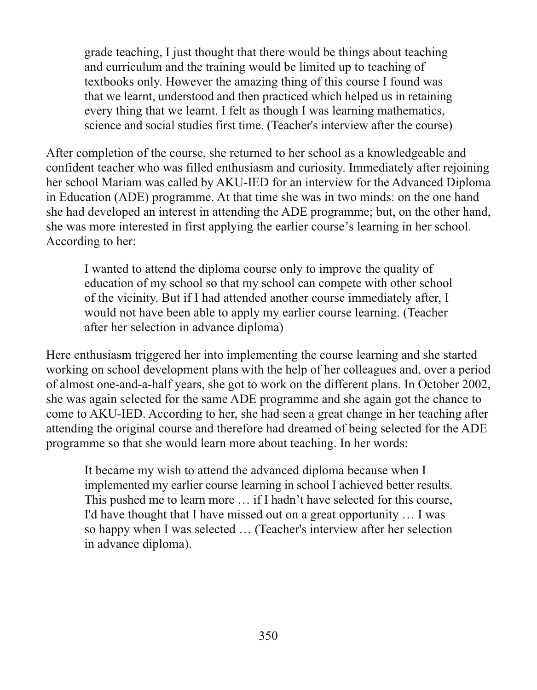grade teaching, I just thought that there would be things about teaching and curriculum and the training would be limited up to teaching of textbooks only. However the amazing thing of this course I found was that we learnt, understood and then practiced which helped us in retaining every thing that we learnt. I felt as though I was learning mathematics, science and social studies first time. (Teacher's interview after the course)

After completion of the course, she returned to her school as a knowledgeable and confident teacher who was filled enthusiasm and curiosity. Immediately after rejoining her school Mariam was called by AKU-IED for an interview for the Advanced Diploma in Education (ADE) programme. At that time she was in two minds: on the one hand she had developed an interest in attending the ADE programme; but, on the other hand, she was more interested in first applying the earlier course's learning in her school. According to her:

I wanted to attend the diploma course only to improve the quality of education of my school so that my school can compete with other school of the vicinity. But if I had attended another course immediately after, I would not have been able to apply my earlier course learning. (Teacher after her selection in advance diploma)

Here enthusiasm triggered her into implementing the course learning and she started working on school development plans with the help of her colleagues and, over a period of almost one-and-a-half years, she got to work on the different plans. In October 2002, she was again selected for the same ADE programme and she again got the chance to come to AKU-IED. According to her, she had seen a great change in her teaching after attending the original course and therefore had dreamed of being selected for the ADE programme so that she would learn more about teaching. In her words:

It became my wish to attend the advanced diploma because when I implemented my earlier course learning in school I achieved better results. This pushed me to learn more ... if I hadn't have selected for this course, I'd have thought that I have missed out on a great opportunity ... I was so happy when I was selected ... (Teacher's interview after her selection in advance diploma).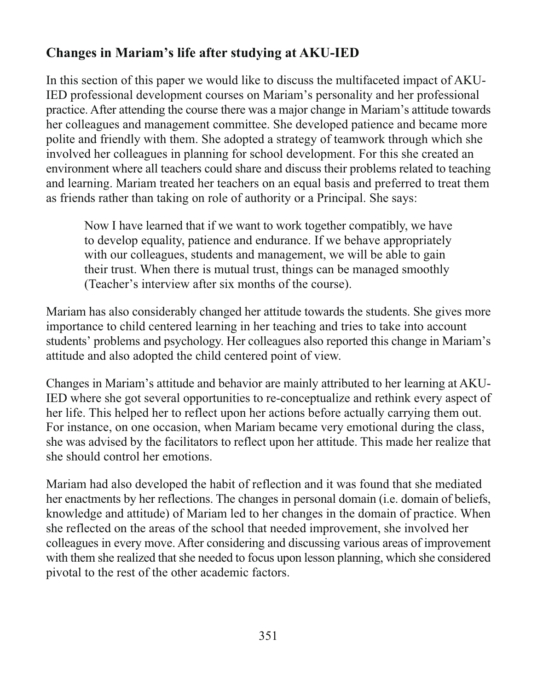### Changes in Mariam's life after studving at AKU-IED

In this section of this paper we would like to discuss the multifaceted impact of AKU-IED professional development courses on Mariam's personality and her professional practice. After attending the course there was a major change in Mariam's attitude towards her colleagues and management committee. She developed patience and became more polite and friendly with them. She adopted a strategy of teamwork through which she involved her colleagues in planning for school development. For this she created an environment where all teachers could share and discuss their problems related to teaching and learning. Mariam treated her teachers on an equal basis and preferred to treat them as friends rather than taking on role of authority or a Principal. She says:

Now I have learned that if we want to work together compatibly, we have to develop equality, patience and endurance. If we behave appropriately with our colleagues, students and management, we will be able to gain their trust. When there is mutual trust, things can be managed smoothly (Teacher's interview after six months of the course).

Mariam has also considerably changed her attitude towards the students. She gives more importance to child centered learning in her teaching and tries to take into account students' problems and psychology. Her colleagues also reported this change in Mariam's attitude and also adopted the child centered point of view.

Changes in Mariam's attitude and behavior are mainly attributed to her learning at AKU-IED where she got several opportunities to re-conceptualize and rethink every aspect of her life. This helped her to reflect upon her actions before actually carrying them out. For instance, on one occasion, when Mariam became very emotional during the class, she was advised by the facilitators to reflect upon her attitude. This made her realize that she should control her emotions.

Mariam had also developed the habit of reflection and it was found that she mediated her enactments by her reflections. The changes in personal domain (*i.e. domain of beliefs*, knowledge and attitude) of Mariam led to her changes in the domain of practice. When she reflected on the areas of the school that needed improvement, she involved her colleagues in every move. After considering and discussing various areas of improvement with them she realized that she needed to focus upon lesson planning, which she considered pivotal to the rest of the other academic factors.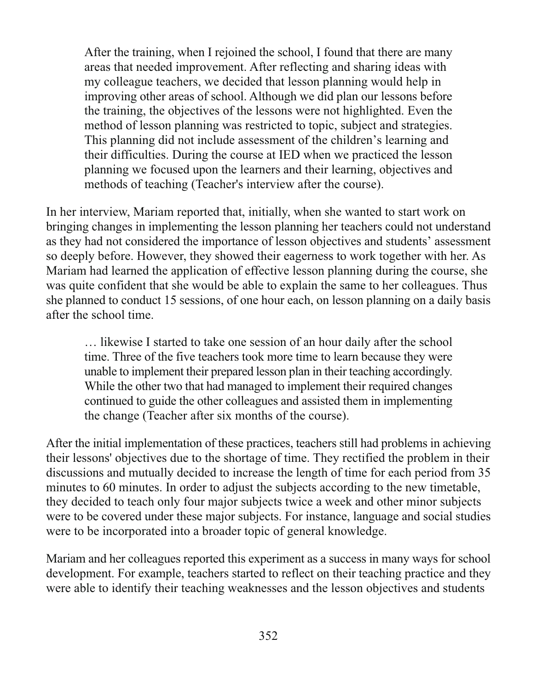After the training, when I rejoined the school, I found that there are many areas that needed improvement. After reflecting and sharing ideas with my colleague teachers, we decided that lesson planning would help in improving other areas of school. Although we did plan our lessons before the training, the objectives of the lessons were not highlighted. Even the method of lesson planning was restricted to topic, subject and strategies. This planning did not include assessment of the children's learning and their difficulties. During the course at IED when we practiced the lesson planning we focused upon the learners and their learning, objectives and methods of teaching (Teacher's interview after the course).

In her interview, Mariam reported that, initially, when she wanted to start work on bringing changes in implementing the lesson planning her teachers could not understand as they had not considered the importance of lesson objectives and students' assessment so deeply before. However, they showed their eagerness to work together with her. As Mariam had learned the application of effective lesson planning during the course, she was quite confident that she would be able to explain the same to her colleagues. Thus she planned to conduct 15 sessions, of one hour each, on lesson planning on a daily basis after the school time.

... likewise I started to take one session of an hour daily after the school time. Three of the five teachers took more time to learn because they were unable to implement their prepared lesson plan in their teaching accordingly. While the other two that had managed to implement their required changes continued to guide the other colleagues and assisted them in implementing the change (Teacher after six months of the course).

After the initial implementation of these practices, teachers still had problems in achieving their lessons' objectives due to the shortage of time. They rectified the problem in their discussions and mutually decided to increase the length of time for each period from 35 minutes to 60 minutes. In order to adjust the subjects according to the new timetable, they decided to teach only four major subjects twice a week and other minor subjects were to be covered under these major subjects. For instance, language and social studies were to be incorporated into a broader topic of general knowledge.

Mariam and her colleagues reported this experiment as a success in many ways for school development. For example, teachers started to reflect on their teaching practice and they were able to identify their teaching weaknesses and the lesson objectives and students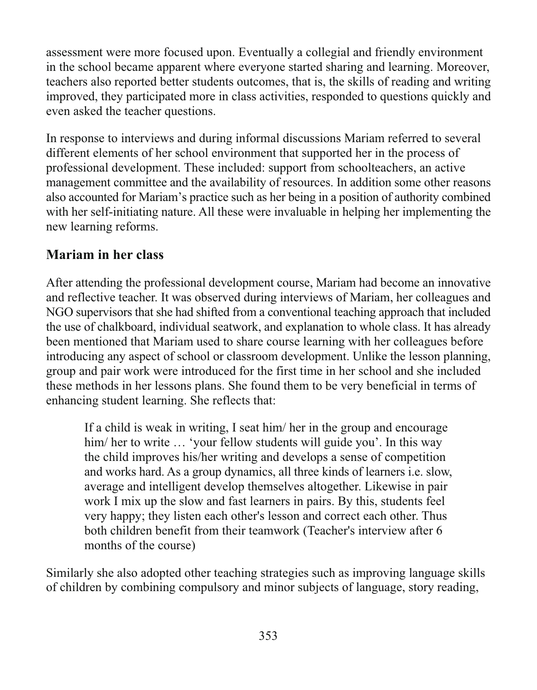assessment were more focused upon. Eventually a collegial and friendly environment in the school became apparent where everyone started sharing and learning. Moreover, teachers also reported better students outcomes, that is, the skills of reading and writing improved, they participated more in class activities, responded to questions quickly and even asked the teacher questions.

In response to interviews and during informal discussions Mariam referred to several different elements of her school environment that supported her in the process of professional development. These included: support from schoolteachers, an active management committee and the availability of resources. In addition some other reasons also accounted for Mariam's practice such as her being in a position of authority combined with her self-initiating nature. All these were invaluable in helping her implementing the new learning reforms.

#### **Mariam in her class**

After attending the professional development course, Mariam had become an innovative and reflective teacher. It was observed during interviews of Mariam, her colleagues and NGO supervisors that she had shifted from a conventional teaching approach that included the use of chalkboard, individual seatwork, and explanation to whole class. It has already been mentioned that Mariam used to share course learning with her colleagues before introducing any aspect of school or classroom development. Unlike the lesson planning, group and pair work were introduced for the first time in her school and she included these methods in her lessons plans. She found them to be very beneficial in terms of enhancing student learning. She reflects that:

If a child is weak in writing, I seat him/her in the group and encourage him/her to write ... 'your fellow students will guide you'. In this way the child improves his/her writing and develops a sense of competition and works hard. As a group dynamics, all three kinds of learners *i.e.* slow, average and intelligent develop themselves altogether. Likewise in pair work I mix up the slow and fast learners in pairs. By this, students feel very happy; they listen each other's lesson and correct each other. Thus both children benefit from their teamwork (Teacher's interview after 6 months of the course)

Similarly she also adopted other teaching strategies such as improving language skills of children by combining compulsory and minor subjects of language, story reading,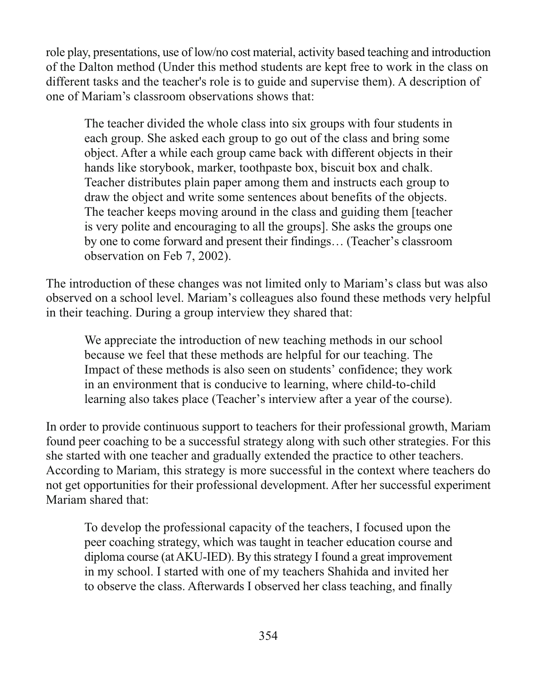role play, presentations, use of low/no cost material, activity based teaching and introduction of the Dalton method (Under this method students are kept free to work in the class on different tasks and the teacher's role is to guide and supervise them). A description of one of Mariam's classroom observations shows that:

The teacher divided the whole class into six groups with four students in each group. She asked each group to go out of the class and bring some object. After a while each group came back with different objects in their hands like storybook, marker, toothpaste box, biscuit box and chalk. Teacher distributes plain paper among them and instructs each group to draw the object and write some sentences about benefits of the objects. The teacher keeps moving around in the class and guiding them [teacher] is very polite and encouraging to all the groups]. She asks the groups one by one to come forward and present their findings... (Teacher's classroom observation on Feb 7, 2002).

The introduction of these changes was not limited only to Mariam's class but was also observed on a school level. Mariam's colleagues also found these methods very helpful in their teaching. During a group interview they shared that:

We appreciate the introduction of new teaching methods in our school because we feel that these methods are helpful for our teaching. The Impact of these methods is also seen on students' confidence; they work in an environment that is conducive to learning, where child-to-child learning also takes place (Teacher's interview after a year of the course).

In order to provide continuous support to teachers for their professional growth, Mariam found peer coaching to be a successful strategy along with such other strategies. For this she started with one teacher and gradually extended the practice to other teachers. According to Mariam, this strategy is more successful in the context where teachers do not get opportunities for their professional development. After her successful experiment Mariam shared that:

To develop the professional capacity of the teachers, I focused upon the peer coaching strategy, which was taught in teacher education course and diploma course (at AKU-IED). By this strategy I found a great improvement in my school. I started with one of my teachers Shahida and invited her to observe the class. Afterwards I observed her class teaching, and finally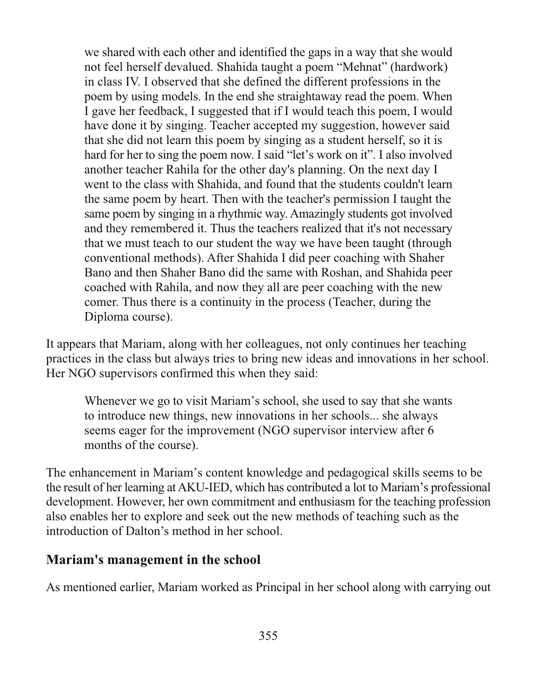we shared with each other and identified the gaps in a way that she would not feel herself devalued. Shahida taught a poem "Mehnat" (hardwork) in class IV. I observed that she defined the different professions in the poem by using models. In the end she straight away read the poem. When I gave her feedback, I suggested that if I would teach this poem, I would have done it by singing. Teacher accepted my suggestion, however said that she did not learn this poem by singing as a student herself, so it is hard for her to sing the poem now. I said "let's work on it". I also involved another teacher Rahila for the other day's planning. On the next day I went to the class with Shahida, and found that the students couldn't learn the same poem by heart. Then with the teacher's permission I taught the same poem by singing in a rhythmic way. Amazingly students got involved and they remembered it. Thus the teachers realized that it's not necessary that we must teach to our student the way we have been taught (through conventional methods). After Shahida I did peer coaching with Shaher Bano and then Shaher Bano did the same with Roshan, and Shahida peer coached with Rahila, and now they all are peer coaching with the new comer. Thus there is a continuity in the process (Teacher, during the Diploma course).

It appears that Mariam, along with her colleagues, not only continues her teaching practices in the class but always tries to bring new ideas and innovations in her school. Her NGO supervisors confirmed this when they said:

Whenever we go to visit Mariam's school, she used to say that she wants to introduce new things, new innovations in her schools... she always seems eager for the improvement (NGO supervisor interview after 6 months of the course).

The enhancement in Mariam's content knowledge and pedagogical skills seems to be the result of her learning at AKU-IED, which has contributed a lot to Mariam's professional development. However, her own commitment and enthusiasm for the teaching profession also enables her to explore and seek out the new methods of teaching such as the introduction of Dalton's method in her school

#### Mariam's management in the school

As mentioned earlier, Mariam worked as Principal in her school along with carrying out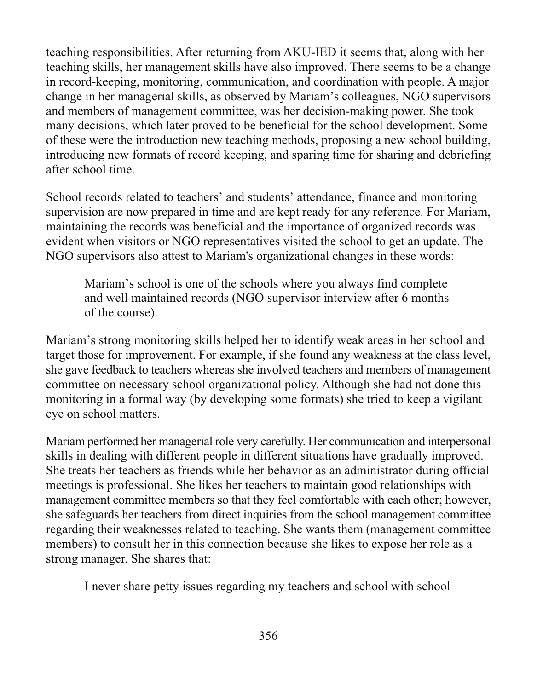teaching responsibilities. After returning from AKU-IED it seems that, along with her teaching skills, her management skills have also improved. There seems to be a change in record-keeping, monitoring, communication, and coordination with people. A major change in her managerial skills, as observed by Mariam's colleagues, NGO supervisors and members of management committee, was her decision-making power. She took many decisions, which later proved to be beneficial for the school development. Some of these were the introduction new teaching methods, proposing a new school building, introducing new formats of record keeping, and sparing time for sharing and debriefing after school time.

School records related to teachers' and students' attendance, finance and monitoring supervision are now prepared in time and are kept ready for any reference. For Mariam, maintaining the records was beneficial and the importance of organized records was evident when visitors or NGO representatives visited the school to get an update. The NGO supervisors also attest to Mariam's organizational changes in these words:

Mariam's school is one of the schools where you always find complete and well maintained records (NGO supervisor interview after 6 months of the course).

Mariam's strong monitoring skills helped her to identify weak areas in her school and target those for improvement. For example, if she found any weakness at the class level, she gave feedback to teachers whereas she involved teachers and members of management committee on necessary school organizational policy. Although she had not done this monitoring in a formal way (by developing some formats) she tried to keep a vigilant eye on school matters.

Mariam performed her managerial role very carefully. Her communication and interpersonal skills in dealing with different people in different situations have gradually improved. She treats her teachers as friends while her behavior as an administrator during official meetings is professional. She likes her teachers to maintain good relationships with management committee members so that they feel comfortable with each other; however, she safeguards her teachers from direct inquiries from the school management committee regarding their weaknesses related to teaching. She wants them (management committee) members) to consult her in this connection because she likes to expose her role as a strong manager. She shares that:

I never share petty issues regarding my teachers and school with school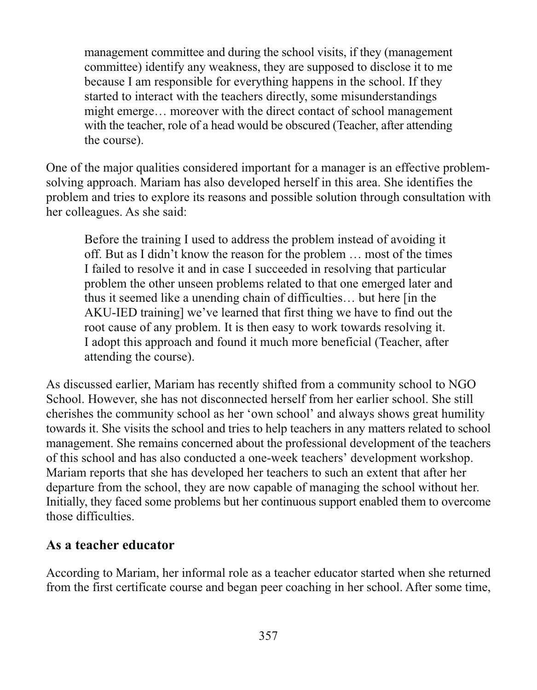management committee and during the school visits, if they (management committee) identify any weakness, they are supposed to disclose it to me because I am responsible for everything happens in the school. If they started to interact with the teachers directly, some misunderstandings might emerge... moreover with the direct contact of school management with the teacher, role of a head would be obscured (Teacher, after attending the course).

One of the major qualities considered important for a manager is an effective problemsolving approach. Mariam has also developed herself in this area. She identifies the problem and tries to explore its reasons and possible solution through consultation with her colleagues. As she said:

Before the training I used to address the problem instead of avoiding it off. But as I didn't know the reason for the problem ... most of the times I failed to resolve it and in case I succeeded in resolving that particular problem the other unseen problems related to that one emerged later and thus it seemed like a unending chain of difficulties... but here [in the AKU-IED training] we've learned that first thing we have to find out the root cause of any problem. It is then easy to work towards resolving it. I adopt this approach and found it much more beneficial (Teacher, after attending the course).

As discussed earlier, Mariam has recently shifted from a community school to NGO School. However, she has not disconnected herself from her earlier school. She still cherishes the community school as her 'own school' and always shows great humility towards it. She visits the school and tries to help teachers in any matters related to school management. She remains concerned about the professional development of the teachers of this school and has also conducted a one-week teachers' development workshop. Mariam reports that she has developed her teachers to such an extent that after her departure from the school, they are now capable of managing the school without her. Initially, they faced some problems but her continuous support enabled them to overcome those difficulties.

#### As a teacher educator

According to Mariam, her informal role as a teacher educator started when she returned from the first certificate course and began peer coaching in her school. After some time,